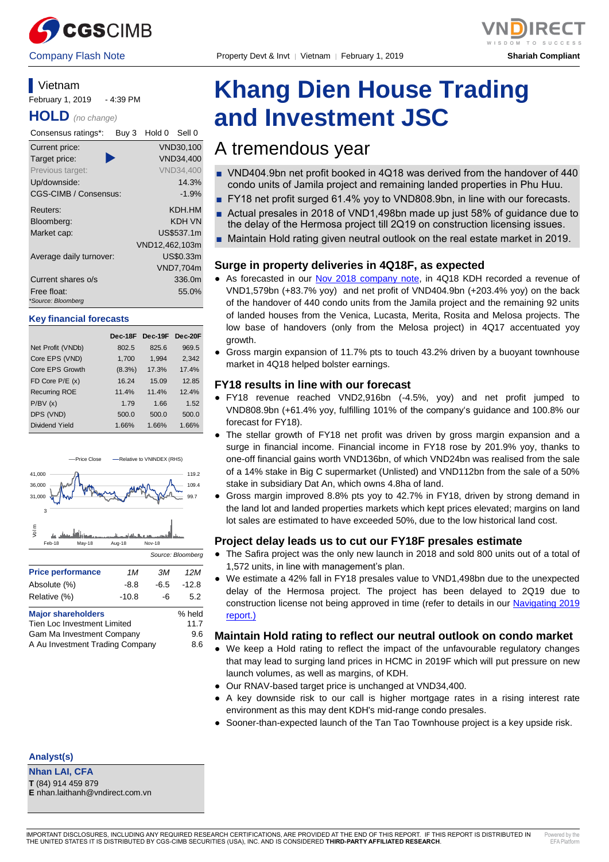

Company Flash Note Property Devt & Invt │ Vietnam │ February 1, 2019 **Shariah Compliant**



**Vietnam** February 1, 2019 - 4:39 PM

**HOLD** *(no change)*

| Consensus ratings*:               | Buy 3 | Hold 0         | Sell 0           |
|-----------------------------------|-------|----------------|------------------|
| Current price:                    |       |                | VND30,100        |
| Target price:                     |       |                | VND34,400        |
| Previous target:                  |       |                | <b>VND34.400</b> |
| Up/downside:                      |       |                | 14.3%            |
| <b>CGS-CIMB / Consensus:</b>      |       |                | $-1.9%$          |
| Reuters:                          |       |                | KDH HM           |
| Bloomberg:                        |       |                | KDH VN           |
| Market cap:                       |       |                | US\$537.1m       |
|                                   |       | VND12,462,103m |                  |
| Average daily turnover:           |       |                | US\$0.33m        |
|                                   |       |                | <b>VND7,704m</b> |
| Current shares o/s                |       |                | 336.0m           |
| Free float:<br>*Source: Bloomberg |       |                | 55.0%            |

#### **Key financial forecasts**

|                       | Dec-18F   | Dec-19F Dec-20F |       |
|-----------------------|-----------|-----------------|-------|
| Net Profit (VNDb)     | 802.5     | 825.6           | 969.5 |
| Core EPS (VND)        | 1,700     | 1,994           | 2,342 |
| Core EPS Growth       | $(8.3\%)$ | 17.3%           | 17.4% |
| FD Core $P/E(x)$      | 16.24     | 15.09           | 12.85 |
| <b>Recurring ROE</b>  | 11.4%     | 11.4%           | 12.4% |
| P/BV(x)               | 1.79      | 1.66            | 1.52  |
| DPS (VND)             | 500.0     | 500.0           | 500.0 |
| <b>Dividend Yield</b> | 1.66%     | 1.66%           | 1.66% |



| Tien Loc Investment Limited     | 11.7 |
|---------------------------------|------|
| Gam Ma Investment Company       | 9.6  |
| A Au Investment Trading Company | 8.6  |

#### **Analyst(s)**

**Nhan LAI, CFA T** (84) 914 459 879

# **Khang Dien House Trading and Investment JSC**

# A tremendous year

- VND404.9bn net profit booked in 4Q18 was derived from the handover of 440 condo units of Jamila project and remaining landed properties in Phu Huu.
- FY18 net profit surged 61.4% yoy to VND808.9bn, in line with our forecasts.
- Actual presales in 2018 of VND1,498bn made up just 58% of quidance due to the delay of the Hermosa project till 2Q19 on construction licensing issues.
- Maintain Hold rating given neutral outlook on the real estate market in 2019.

### **Surge in property deliveries in 4Q18F, as expected**

- As forecasted in our Nov 2018 [company note,](https://static-02.vndirect.com.vn/uploads/prod/KDH_Update_20181102.pdf) in 4Q18 KDH recorded a revenue of VND1,579bn (+83.7% yoy) and net profit of VND404.9bn (+203.4% yoy) on the back of the handover of 440 condo units from the Jamila project and the remaining 92 units of landed houses from the Venica, Lucasta, Merita, Rosita and Melosa projects. The low base of handovers (only from the Melosa project) in 4Q17 accentuated yoy growth.
- Gross margin expansion of 11.7% pts to touch 43.2% driven by a buoyant townhouse market in 4Q18 helped bolster earnings.

#### **FY18 results in line with our forecast**

- FY18 revenue reached VND2,916bn (-4.5%, yoy) and net profit jumped to VND808.9bn (+61.4% yoy, fulfilling 101% of the company's guidance and 100.8% our forecast for FY18).
- The stellar growth of FY18 net profit was driven by gross margin expansion and a surge in financial income. Financial income in FY18 rose by 201.9% yoy, thanks to one-off financial gains worth VND136bn, of which VND24bn was realised from the sale of a 14% stake in Big C supermarket (Unlisted) and VND112bn from the sale of a 50% stake in subsidiary Dat An, which owns 4.8ha of land.
- Gross margin improved 8.8% pts yoy to 42.7% in FY18, driven by strong demand in the land lot and landed properties markets which kept prices elevated; margins on land lot sales are estimated to have exceeded 50%, due to the low historical land cost.

#### **Project delay leads us to cut our FY18F presales estimate**

- The Safira project was the only new launch in 2018 and sold 800 units out of a total of 1,572 units, in line with management's plan.
- We estimate a 42% fall in FY18 presales value to VND1,498bn due to the unexpected delay of the Hermosa project. The project has been delayed to 2Q19 due to construction license not being approved in time (refer to details in our [Navigating](https://static-02.vndirect.com.vn/uploads/prod/Vietnam_Navigating_2019_20190124.pdf) 2019 [report.\)](https://static-02.vndirect.com.vn/uploads/prod/Vietnam_Navigating_2019_20190124.pdf)

#### **Maintain Hold rating to reflect our neutral outlook on condo market**

- We keep a Hold rating to reflect the impact of the unfavourable regulatory changes that may lead to surging land prices in HCMC in 2019F which will put pressure on new launch volumes, as well as margins, of KDH.
- Our RNAV-based target price is unchanged at VND34,400.
- A key downside risk to our call is higher mortgage rates in a rising interest rate environment as this may dent KDH's mid-range condo presales.
- Sooner-than-expected launch of the Tan Tao Townhouse project is a key upside risk.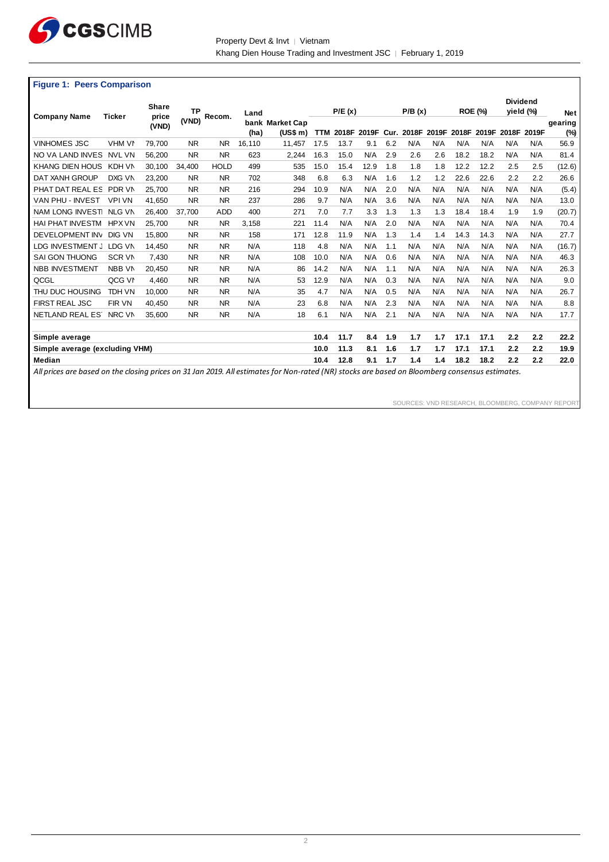

Property Devt & Invt | Vietnam Khang Dien House Trading and Investment JSC │ February 1, 2019

#### **Figure 1: Peers Comparison**

|                                |               | <b>Share</b>   | <b>TP</b> |             | Land   |                             |            | P/E(x) |             |     | P/B(x)     |       |      | <b>ROE (%)</b> | <b>Dividend</b> | yield (%) | <b>Net</b>        |
|--------------------------------|---------------|----------------|-----------|-------------|--------|-----------------------------|------------|--------|-------------|-----|------------|-------|------|----------------|-----------------|-----------|-------------------|
| <b>Company Name</b>            | <b>Ticker</b> | price<br>(VND) | (VND)     | Recom.      | (ha)   | bank Market Cap<br>(US\$ m) | <b>TTM</b> |        | 2018F 2019F |     | Cur. 2018F | 2019F |      | 2018F 2019F    | 2018F           | 2019F     | gearing<br>$(\%)$ |
| <b>VINHOMES JSC</b>            | VHM VN        | 79,700         | <b>NR</b> | NR.         | 16,110 | 11,457                      | 17.5       | 13.7   | 9.1         | 6.2 | N/A        | N/A   | N/A  | N/A            | N/A             | N/A       | 56.9              |
| NO VA LAND INVES               | <b>NVL VN</b> | 56,200         | <b>NR</b> | <b>NR</b>   | 623    | 2,244                       | 16.3       | 15.0   | N/A         | 2.9 | 2.6        | 2.6   | 18.2 | 18.2           | N/A             | N/A       | 81.4              |
| <b>KHANG DIEN HOUS</b>         | KDH VN        | 30,100         | 34.400    | <b>HOLD</b> | 499    | 535                         | 15.0       | 15.4   | 12.9        | 1.8 | 1.8        | 1.8   | 12.2 | 12.2           | 2.5             | 2.5       | (12.6)            |
| DAT XANH GROUP                 | DXG VN        | 23,200         | <b>NR</b> | <b>NR</b>   | 702    | 348                         | 6.8        | 6.3    | N/A         | 1.6 | 1.2        | 1.2   | 22.6 | 22.6           | 2.2             | 2.2       | 26.6              |
| PHAT DAT REAL ES               | PDR VN        | 25,700         | <b>NR</b> | <b>NR</b>   | 216    | 294                         | 10.9       | N/A    | N/A         | 2.0 | N/A        | N/A   | N/A  | N/A            | N/A             | N/A       | (5.4)             |
| VAN PHU - INVEST               | <b>VPI VN</b> | 41.650         | <b>NR</b> | <b>NR</b>   | 237    | 286                         | 9.7        | N/A    | N/A         | 3.6 | N/A        | N/A   | N/A  | N/A            | N/A             | N/A       | 13.0              |
| NAM LONG INVEST                | <b>NLG VN</b> | 26.400         | 37.700    | <b>ADD</b>  | 400    | 271                         | 7.0        | 7.7    | 3.3         | 1.3 | 1.3        | 1.3   | 18.4 | 18.4           | 1.9             | 1.9       | (20.7)            |
| <b>HAI PHAT INVESTM</b>        | <b>HPX VN</b> | 25,700         | <b>NR</b> | <b>NR</b>   | 3,158  | 221                         | 11.4       | N/A    | N/A         | 2.0 | N/A        | N/A   | N/A  | N/A            | N/A             | N/A       | 70.4              |
| DEVELOPMENT INV                | DIG VN        | 15.800         | <b>NR</b> | <b>NR</b>   | 158    | 171                         | 12.8       | 11.9   | N/A         | 1.3 | 1.4        | 1.4   | 14.3 | 14.3           | N/A             | N/A       | 27.7              |
| LDG INVESTMENT J               | LDG VN        | 14,450         | <b>NR</b> | <b>NR</b>   | N/A    | 118                         | 4.8        | N/A    | N/A         | 1.1 | N/A        | N/A   | N/A  | N/A            | N/A             | N/A       | (16.7)            |
| <b>SAI GON THUONG</b>          | <b>SCR VN</b> | 7.430          | <b>NR</b> | <b>NR</b>   | N/A    | 108                         | 10.0       | N/A    | N/A         | 0.6 | N/A        | N/A   | N/A  | N/A            | N/A             | N/A       | 46.3              |
| <b>NBB INVESTMENT</b>          | NBB VN        | 20,450         | <b>NR</b> | <b>NR</b>   | N/A    | 86                          | 14.2       | N/A    | N/A         | 1.1 | N/A        | N/A   | N/A  | N/A            | N/A             | N/A       | 26.3              |
| QCGL                           | QCG VN        | 4.460          | <b>NR</b> | <b>NR</b>   | N/A    | 53                          | 12.9       | N/A    | N/A         | 0.3 | N/A        | N/A   | N/A  | N/A            | N/A             | N/A       | 9.0               |
| THU DUC HOUSING                | <b>TDH VN</b> | 10,000         | <b>NR</b> | <b>NR</b>   | N/A    | 35                          | 4.7        | N/A    | N/A         | 0.5 | N/A        | N/A   | N/A  | N/A            | N/A             | N/A       | 26.7              |
| <b>FIRST REAL JSC</b>          | <b>FIR VN</b> | 40,450         | <b>NR</b> | <b>NR</b>   | N/A    | 23                          | 6.8        | N/A    | N/A         | 2.3 | N/A        | N/A   | N/A  | N/A            | N/A             | N/A       | 8.8               |
| <b>NETLAND REAL EST</b>        | NRC VN        | 35.600         | <b>NR</b> | <b>NR</b>   | N/A    | 18                          | 6.1        | N/A    | N/A         | 2.1 | N/A        | N/A   | N/A  | N/A            | N/A             | N/A       | 17.7              |
|                                |               |                |           |             |        |                             |            |        |             |     |            |       |      |                |                 |           |                   |
| Simple average                 |               |                |           |             |        |                             | 10.4       | 11.7   | 8.4         | 1.9 | 1.7        | 1.7   | 17.1 | 17.1           | 2.2             | 2.2       | 22.2              |
| Simple average (excluding VHM) |               |                |           |             |        |                             | 10.0       | 11.3   | 8.1         | 1.6 | 1.7        | 1.7   | 17.1 | 17.1           | 2.2             | 2.2       | 19.9              |
| Median                         |               |                |           |             |        |                             | 10.4       | 12.8   | 9.1         | 1.7 | 1.4        | 1.4   | 18.2 | 18.2           | 2.2             | 2.2       | 22.0              |
|                                |               |                | ---       |             |        | $\sim$ $\sim$               |            |        |             |     |            |       |      |                |                 |           |                   |

*All prices are based on the closing prices on 31 Jan 2019. All estimates for Non-rated (NR) stocks are based on Bloomberg consensus estimates.*

SOURCES: VND RESEARCH, BLOOMBERG, COMPANY REPORT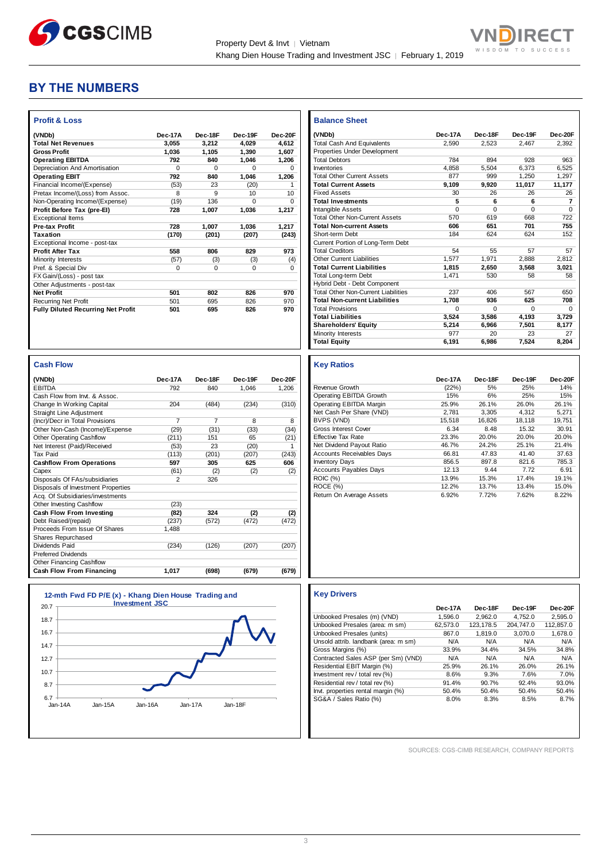



## **BY THE NUMBERS**

| <b>Profit &amp; Loss</b>                  |          |          |         |          |
|-------------------------------------------|----------|----------|---------|----------|
| (VNDb)                                    | Dec-17A  | Dec-18F  | Dec-19F | Dec-20F  |
| <b>Total Net Revenues</b>                 | 3.055    | 3.212    | 4.029   | 4.612    |
| <b>Gross Profit</b>                       | 1.036    | 1,105    | 1.390   | 1,607    |
| <b>Operating EBITDA</b>                   | 792      | 840      | 1.046   | 1.206    |
| Depreciation And Amortisation             | $\Omega$ | $\Omega$ | 0       | $\Omega$ |
| <b>Operating EBIT</b>                     | 792      | 840      | 1,046   | 1,206    |
| Financial Income/(Expense)                | (53)     | 23       | (20)    | 1        |
| Pretax Income/(Loss) from Assoc.          | 8        | 9        | 10      | 10       |
| Non-Operating Income/(Expense)            | (19)     | 136      | O       | $\Omega$ |
| Profit Before Tax (pre-El)                | 728      | 1,007    | 1,036   | 1,217    |
| <b>Exceptional Items</b>                  |          |          |         |          |
| <b>Pre-tax Profit</b>                     | 728      | 1,007    | 1.036   | 1,217    |
| Taxation                                  | (170)    | (201)    | (207)   | (243)    |
| Exceptional Income - post-tax             |          |          |         |          |
| <b>Profit After Tax</b>                   | 558      | 806      | 829     | 973      |
| Minority Interests                        | (57)     | (3)      | (3)     | (4)      |
| Pref. & Special Div                       | $\Omega$ | $\Omega$ | 0       | $\Omega$ |
| FX Gain/(Loss) - post tax                 |          |          |         |          |
| Other Adjustments - post-tax              |          |          |         |          |
| <b>Net Profit</b>                         | 501      | 802      | 826     | 970      |
| <b>Recurring Net Profit</b>               | 501      | 695      | 826     | 970      |
| <b>Fully Diluted Recurring Net Profit</b> | 501      | 695      | 826     | 970      |
|                                           |          |          |         |          |

| <b>Cash Flow</b>                   |                |                |         |         |
|------------------------------------|----------------|----------------|---------|---------|
| (VNDb)                             | Dec-17A        | Dec-18F        | Dec-19F | Dec-20E |
| <b>EBITDA</b>                      | 792            | 840            | 1.046   | 1.206   |
| Cash Flow from Invt. & Assoc.      |                |                |         |         |
| Change In Working Capital          | 204            | (484)          | (234)   | (310)   |
| <b>Straight Line Adjustment</b>    |                |                |         |         |
| (Incr)/Decr in Total Provisions    | 7              | $\overline{7}$ | 8       | 8       |
| Other Non-Cash (Income)/Expense    | (29)           | (31)           | (33)    | (34)    |
| <b>Other Operating Cashflow</b>    | (211)          | 151            | 65      | (21)    |
| Net Interest (Paid)/Received       | (53)           | 23             | (20)    | 1       |
| <b>Tax Paid</b>                    | (113)          | (201)          | (207)   | (243)   |
| <b>Cashflow From Operations</b>    | 597            | 305            | 625     | 606     |
| Capex                              | (61)           | (2)            | (2)     | (2)     |
| Disposals Of FAs/subsidiaries      | $\mathfrak{p}$ | 326            |         |         |
| Disposals of Investment Properties |                |                |         |         |
| Acq. Of Subsidiaries/investments   |                |                |         |         |
| Other Investing Cashflow           | (23)           |                |         |         |
| Cash Flow From Investing           | (82)           | 324            | (2)     | (2)     |
| Debt Raised/(repaid)               | (237)          | (572)          | (472)   | (472)   |
| Proceeds From Issue Of Shares      | 1.488          |                |         |         |
| Shares Repurchased                 |                |                |         |         |
| Dividends Paid                     | (234)          | (126)          | (207)   | (207)   |
| <b>Preferred Dividends</b>         |                |                |         |         |
| Other Financing Cashflow           |                |                |         |         |
| Cash Flow From Financing           | 1.017          | (698)          | (679)   | (679)   |

| 18.7 |  |  |
|------|--|--|
| 16.7 |  |  |
| 14.7 |  |  |
| 12.7 |  |  |
| 10.7 |  |  |
| 8.7  |  |  |
| 6.7  |  |  |

| <b>Balance Sheet</b>                       |          |          |          |                |
|--------------------------------------------|----------|----------|----------|----------------|
| (VNDb)                                     | Dec-17A  | Dec-18F  | Dec-19F  | Dec-20F        |
| <b>Total Cash And Equivalents</b>          | 2.590    | 2,523    | 2,467    | 2.392          |
| Properties Under Development               |          |          |          |                |
| <b>Total Debtors</b>                       | 784      | 894      | 928      | 963            |
| Inventories                                | 4.858    | 5.504    | 6.373    | 6.525          |
| <b>Total Other Current Assets</b>          | 877      | 999      | 1.250    | 1.297          |
| <b>Total Current Assets</b>                | 9.109    | 9.920    | 11,017   | 11,177         |
| <b>Fixed Assets</b>                        | 30       | 26       | 26       | 26             |
| <b>Total Investments</b>                   | 5        | 6        | 6        | $\overline{7}$ |
| Intangible Assets                          | 0        | $\Omega$ | $\Omega$ | $\Omega$       |
| <b>Total Other Non-Current Assets</b>      | 570      | 619      | 668      | 722            |
| <b>Total Non-current Assets</b>            | 606      | 651      | 701      | 755            |
| Short-term Debt                            | 184      | 624      | 624      | 152            |
| Current Portion of Long-Term Debt          |          |          |          |                |
| <b>Total Creditors</b>                     | 54       | 55       | 57       | 57             |
| Other Current Liabilities                  | 1.577    | 1.971    | 2.888    | 2.812          |
| <b>Total Current Liabilities</b>           | 1.815    | 2.650    | 3.568    | 3.021          |
| <b>Total Long-term Debt</b>                | 1.471    | 530      | 58       | 58             |
| Hybrid Debt - Debt Component               |          |          |          |                |
| <b>Total Other Non-Current Liabilities</b> | 237      | 406      | 567      | 650            |
| <b>Total Non-current Liabilities</b>       | 1.708    | 936      | 625      | 708            |
| <b>Total Provisions</b>                    | $\Omega$ | $\Omega$ | $\Omega$ | $\Omega$       |
| <b>Total Liabilities</b>                   | 3,524    | 3.586    | 4,193    | 3,729          |
| <b>Shareholders' Equity</b>                | 5.214    | 6.966    | 7.501    | 8,177          |
| Minority Interests                         | 977      | 20       | 23       | 27             |
| <b>Total Equity</b>                        | 6,191    | 6,986    | 7,524    | 8,204          |

#### **Key Ratios Dec-17A Dec-18F Dec-19F Dec-20F** Revenue Growth (22%) 5% 25% 14%<br>
Operating EBITDA Growth 15% 6% 25% 15% Operating EBITDA Growth 15% 6% 25% 15%<br>
Operating EBITDA Margin 25.9% 26.1% 26.0% 26.1%<br>
Net Cash Per Share (VND) 2.781 3.305 4.312 5.271 Operating EBITDA Margin 25.9% 26.1% 26.0% 26.1% Net Cash Per Share (VND)  $2,781$   $3,305$   $4,312$   $5,271$ BVPS (VND) 15,518 16,826 18,118 19,751 Gross Interest Cover **6.34** 8.48 15.32 30.91 Effective Tax Rate 23.3% 20.0% 20.0% 20.0% Net Dividend Payout Ratio  $\begin{array}{l} 46.7\% \ 48.7\% \ 24.2\% \ 25.1\% \ 21.4\% \end{array}$ <br>Accounts Receivables Days 66.81 47.83 41.40 37.63 Accounts Receivables Days 66.81 47.83 41.40<br>
Inventory Days 856.5 897.8 821.6<br>
Accounts Pavables Days 12.13 9.44 7.72 Inventory Days 856.5 897.8 821.6 785.3 Accounts Payables Days 12.13 9.44 7.72 6.91<br>ROIC (%) 13.9% 15.3% 17.4% 19.1% ROIC (%)<br>ROIC (%) 13.9% 15.3% 17.4% 19.1%<br>ROCE (%) 12.2% 13.7% 13.4% 15.0% ROCE (%) 12.2% 13.7% 13.4% 15.0%<br>Return On Average Assets 6.92% 7.72% 7.62% 8.22% Return On Average Assets 6.92% 7.72% 7.62%

#### **Key Drivers**

|                                      | Dec-17A  | Dec-18F   | Dec-19F   | Dec-20F   |
|--------------------------------------|----------|-----------|-----------|-----------|
| Unbooked Presales (m) (VND)          | 1.596.0  | 2.962.0   | 4.752.0   | 2.595.0   |
| Unbooked Presales (area: m sm)       | 62.573.0 | 123.178.5 | 204.747.0 | 112.857.0 |
| Unbooked Presales (units)            | 867.0    | 1.819.0   | 3.070.0   | 1.678.0   |
| Unsold attrib. landbank (area: m sm) | N/A      | N/A       | N/A       | N/A       |
| Gross Margins (%)                    | 33.9%    | 34.4%     | 34.5%     | 34.8%     |
| Contracted Sales ASP (per Sm) (VND)  | N/A      | N/A       | N/A       | N/A       |
| Residential EBIT Margin (%)          | 25.9%    | 26.1%     | 26.0%     | 26.1%     |
| Investment rev / total rev (%)       | 8.6%     | 9.3%      | 7.6%      | 7.0%      |
| Residential rev / total rev (%)      | 91.4%    | 90.7%     | 92.4%     | 93.0%     |
| Invt. properties rental margin (%)   | 50.4%    | 50.4%     | 50.4%     | 50.4%     |
| SG&A / Sales Ratio (%)               | 8.0%     | 8.3%      | 8.5%      | 8.7%      |

SOURCES: CGS-CIMB RESEARCH, COMPANY REPORTS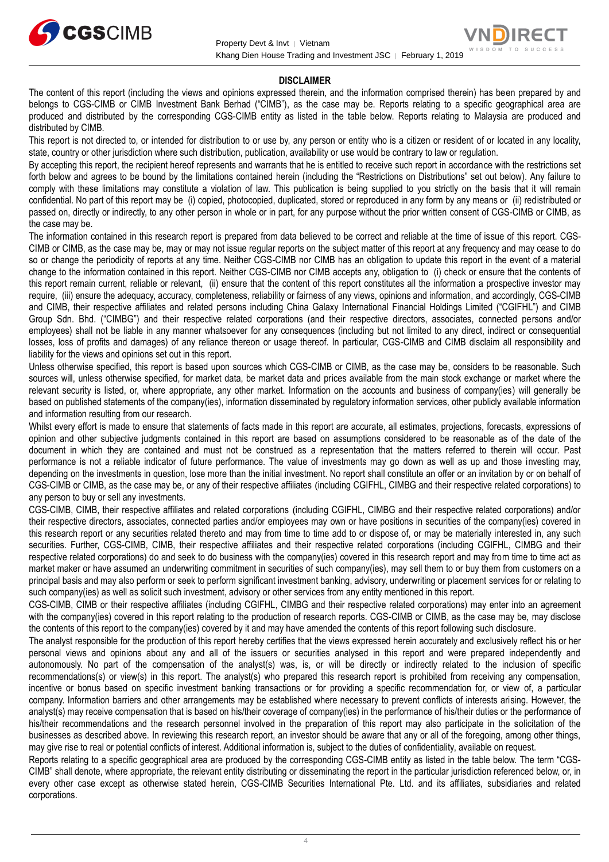



#### **DISCLAIMER**

The content of this report (including the views and opinions expressed therein, and the information comprised therein) has been prepared by and belongs to CGS-CIMB or CIMB Investment Bank Berhad ("CIMB"), as the case may be. Reports relating to a specific geographical area are produced and distributed by the corresponding CGS-CIMB entity as listed in the table below. Reports relating to Malaysia are produced and distributed by CIMB.

This report is not directed to, or intended for distribution to or use by, any person or entity who is a citizen or resident of or located in any locality, state, country or other jurisdiction where such distribution, publication, availability or use would be contrary to law or regulation.

By accepting this report, the recipient hereof represents and warrants that he is entitled to receive such report in accordance with the restrictions set forth below and agrees to be bound by the limitations contained herein (including the "Restrictions on Distributions" set out below). Any failure to comply with these limitations may constitute a violation of law. This publication is being supplied to you strictly on the basis that it will remain confidential. No part of this report may be (i) copied, photocopied, duplicated, stored or reproduced in any form by any means or (ii) redistributed or passed on, directly or indirectly, to any other person in whole or in part, for any purpose without the prior written consent of CGS-CIMB or CIMB, as the case may be.

The information contained in this research report is prepared from data believed to be correct and reliable at the time of issue of this report. CGS-CIMB or CIMB, as the case may be, may or may not issue regular reports on the subject matter of this report at any frequency and may cease to do so or change the periodicity of reports at any time. Neither CGS-CIMB nor CIMB has an obligation to update this report in the event of a material change to the information contained in this report. Neither CGS-CIMB nor CIMB accepts any, obligation to (i) check or ensure that the contents of this report remain current, reliable or relevant, (ii) ensure that the content of this report constitutes all the information a prospective investor may require, (iii) ensure the adequacy, accuracy, completeness, reliability or fairness of any views, opinions and information, and accordingly, CGS-CIMB and CIMB, their respective affiliates and related persons including China Galaxy International Financial Holdings Limited ("CGIFHL") and CIMB Group Sdn. Bhd. ("CIMBG") and their respective related corporations (and their respective directors, associates, connected persons and/or employees) shall not be liable in any manner whatsoever for any consequences (including but not limited to any direct, indirect or consequential losses, loss of profits and damages) of any reliance thereon or usage thereof. In particular, CGS-CIMB and CIMB disclaim all responsibility and liability for the views and opinions set out in this report.

Unless otherwise specified, this report is based upon sources which CGS-CIMB or CIMB, as the case may be, considers to be reasonable. Such sources will, unless otherwise specified, for market data, be market data and prices available from the main stock exchange or market where the relevant security is listed, or, where appropriate, any other market. Information on the accounts and business of company(ies) will generally be based on published statements of the company(ies), information disseminated by regulatory information services, other publicly available information and information resulting from our research.

Whilst every effort is made to ensure that statements of facts made in this report are accurate, all estimates, projections, forecasts, expressions of opinion and other subjective judgments contained in this report are based on assumptions considered to be reasonable as of the date of the document in which they are contained and must not be construed as a representation that the matters referred to therein will occur. Past performance is not a reliable indicator of future performance. The value of investments may go down as well as up and those investing may, depending on the investments in question, lose more than the initial investment. No report shall constitute an offer or an invitation by or on behalf of CGS-CIMB or CIMB, as the case may be, or any of their respective affiliates (including CGIFHL, CIMBG and their respective related corporations) to any person to buy or sell any investments.

CGS-CIMB, CIMB, their respective affiliates and related corporations (including CGIFHL, CIMBG and their respective related corporations) and/or their respective directors, associates, connected parties and/or employees may own or have positions in securities of the company(ies) covered in this research report or any securities related thereto and may from time to time add to or dispose of, or may be materially interested in, any such securities. Further, CGS-CIMB, CIMB, their respective affiliates and their respective related corporations (including CGIFHL, CIMBG and their respective related corporations) do and seek to do business with the company(ies) covered in this research report and may from time to time act as market maker or have assumed an underwriting commitment in securities of such company(ies), may sell them to or buy them from customers on a principal basis and may also perform or seek to perform significant investment banking, advisory, underwriting or placement services for or relating to such company(ies) as well as solicit such investment, advisory or other services from any entity mentioned in this report.

CGS-CIMB, CIMB or their respective affiliates (including CGIFHL, CIMBG and their respective related corporations) may enter into an agreement with the company(ies) covered in this report relating to the production of research reports. CGS-CIMB or CIMB, as the case may be, may disclose the contents of this report to the company(ies) covered by it and may have amended the contents of this report following such disclosure.

The analyst responsible for the production of this report hereby certifies that the views expressed herein accurately and exclusively reflect his or her personal views and opinions about any and all of the issuers or securities analysed in this report and were prepared independently and autonomously. No part of the compensation of the analyst(s) was, is, or will be directly or indirectly related to the inclusion of specific recommendations(s) or view(s) in this report. The analyst(s) who prepared this research report is prohibited from receiving any compensation, incentive or bonus based on specific investment banking transactions or for providing a specific recommendation for, or view of, a particular company. Information barriers and other arrangements may be established where necessary to prevent conflicts of interests arising. However, the analyst(s) may receive compensation that is based on his/their coverage of company(ies) in the performance of his/their duties or the performance of his/their recommendations and the research personnel involved in the preparation of this report may also participate in the solicitation of the businesses as described above. In reviewing this research report, an investor should be aware that any or all of the foregoing, among other things, may give rise to real or potential conflicts of interest. Additional information is, subject to the duties of confidentiality, available on request.

Reports relating to a specific geographical area are produced by the corresponding CGS-CIMB entity as listed in the table below. The term "CGS-CIMB" shall denote, where appropriate, the relevant entity distributing or disseminating the report in the particular jurisdiction referenced below, or, in every other case except as otherwise stated herein, CGS-CIMB Securities International Pte. Ltd. and its affiliates, subsidiaries and related corporations.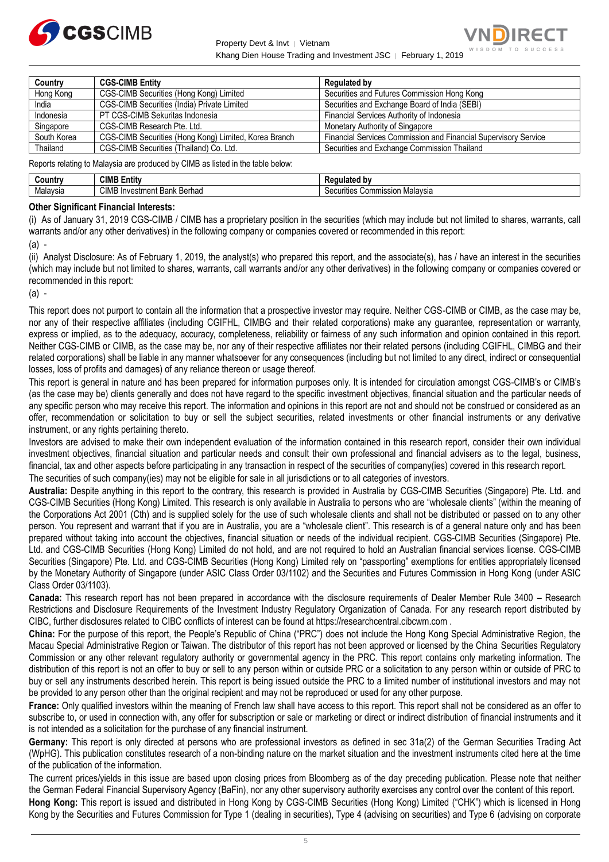

Property Devt & Invt │ Vietnam Khang Dien House Trading and Investment JSC ∣ February 1, 2019



| Country     | <b>CGS-CIMB Entity</b>                                | Regulated by                                                    |
|-------------|-------------------------------------------------------|-----------------------------------------------------------------|
| Hong Kong   | CGS-CIMB Securities (Hong Kong) Limited               | Securities and Futures Commission Hong Kong                     |
| India       | CGS-CIMB Securities (India) Private Limited           | Securities and Exchange Board of India (SEBI)                   |
| Indonesia   | PT CGS-CIMB Sekuritas Indonesia                       | Financial Services Authority of Indonesia                       |
| Singapore   | CGS-CIMB Research Pte. Ltd.                           | Monetary Authority of Singapore                                 |
| South Korea | CGS-CIMB Securities (Hong Kong) Limited, Korea Branch | Financial Services Commission and Financial Supervisory Service |
| Thailand    | CGS-CIMB Securities (Thailand) Co. Ltd.               | Securities and Exchange Commission Thailand                     |

Reports relating to Malaysia are produced by CIMB as listed in the table below:

| <b>Country</b> | CIMB <sup>-</sup><br>Entitv              | ed pr                                |
|----------------|------------------------------------------|--------------------------------------|
| Malaysia       | <b>CIMB</b><br>Investment Bank<br>Berhao | , Commission<br>Malavsia<br>curities |

#### **Other Significant Financial Interests:**

(i) As of January 31, 2019 CGS-CIMB / CIMB has a proprietary position in the securities (which may include but not limited to shares, warrants, call warrants and/or any other derivatives) in the following company or companies covered or recommended in this report:

(a) -

(ii) Analyst Disclosure: As of February 1, 2019, the analyst(s) who prepared this report, and the associate(s), has / have an interest in the securities (which may include but not limited to shares, warrants, call warrants and/or any other derivatives) in the following company or companies covered or recommended in this report:

(a) -

This report does not purport to contain all the information that a prospective investor may require. Neither CGS-CIMB or CIMB, as the case may be, nor any of their respective affiliates (including CGIFHL, CIMBG and their related corporations) make any guarantee, representation or warranty, express or implied, as to the adequacy, accuracy, completeness, reliability or fairness of any such information and opinion contained in this report. Neither CGS-CIMB or CIMB, as the case may be, nor any of their respective affiliates nor their related persons (including CGIFHL, CIMBG and their related corporations) shall be liable in any manner whatsoever for any consequences (including but not limited to any direct, indirect or consequential losses, loss of profits and damages) of any reliance thereon or usage thereof.

This report is general in nature and has been prepared for information purposes only. It is intended for circulation amongst CGS-CIMB's or CIMB's (as the case may be) clients generally and does not have regard to the specific investment objectives, financial situation and the particular needs of any specific person who may receive this report. The information and opinions in this report are not and should not be construed or considered as an offer, recommendation or solicitation to buy or sell the subject securities, related investments or other financial instruments or any derivative instrument, or any rights pertaining thereto.

Investors are advised to make their own independent evaluation of the information contained in this research report, consider their own individual investment objectives, financial situation and particular needs and consult their own professional and financial advisers as to the legal, business, financial, tax and other aspects before participating in any transaction in respect of the securities of company(ies) covered in this research report. The securities of such company(ies) may not be eligible for sale in all jurisdictions or to all categories of investors.

**Australia:** Despite anything in this report to the contrary, this research is provided in Australia by CGS-CIMB Securities (Singapore) Pte. Ltd. and CGS-CIMB Securities (Hong Kong) Limited. This research is only available in Australia to persons who are "wholesale clients" (within the meaning of the Corporations Act 2001 (Cth) and is supplied solely for the use of such wholesale clients and shall not be distributed or passed on to any other person. You represent and warrant that if you are in Australia, you are a "wholesale client". This research is of a general nature only and has been prepared without taking into account the objectives, financial situation or needs of the individual recipient. CGS-CIMB Securities (Singapore) Pte. Ltd. and CGS-CIMB Securities (Hong Kong) Limited do not hold, and are not required to hold an Australian financial services license. CGS-CIMB Securities (Singapore) Pte. Ltd. and CGS-CIMB Securities (Hong Kong) Limited rely on "passporting" exemptions for entities appropriately licensed by the Monetary Authority of Singapore (under ASIC Class Order 03/1102) and the Securities and Futures Commission in Hong Kong (under ASIC Class Order 03/1103).

**Canada:** This research report has not been prepared in accordance with the disclosure requirements of Dealer Member Rule 3400 – Research Restrictions and Disclosure Requirements of the Investment Industry Regulatory Organization of Canada. For any research report distributed by CIBC, further disclosures related to CIBC conflicts of interest can be found at https://researchcentral.cibcwm.com .

**China:** For the purpose of this report, the People's Republic of China ("PRC") does not include the Hong Kong Special Administrative Region, the Macau Special Administrative Region or Taiwan. The distributor of this report has not been approved or licensed by the China Securities Regulatory Commission or any other relevant regulatory authority or governmental agency in the PRC. This report contains only marketing information. The distribution of this report is not an offer to buy or sell to any person within or outside PRC or a solicitation to any person within or outside of PRC to buy or sell any instruments described herein. This report is being issued outside the PRC to a limited number of institutional investors and may not be provided to any person other than the original recipient and may not be reproduced or used for any other purpose.

**France:** Only qualified investors within the meaning of French law shall have access to this report. This report shall not be considered as an offer to subscribe to, or used in connection with, any offer for subscription or sale or marketing or direct or indirect distribution of financial instruments and it is not intended as a solicitation for the purchase of any financial instrument.

**Germany:** This report is only directed at persons who are professional investors as defined in sec 31a(2) of the German Securities Trading Act (WpHG). This publication constitutes research of a non-binding nature on the market situation and the investment instruments cited here at the time of the publication of the information.

The current prices/yields in this issue are based upon closing prices from Bloomberg as of the day preceding publication. Please note that neither the German Federal Financial Supervisory Agency (BaFin), nor any other supervisory authority exercises any control over the content of this report. **Hong Kong:** This report is issued and distributed in Hong Kong by CGS-CIMB Securities (Hong Kong) Limited ("CHK") which is licensed in Hong Kong by the Securities and Futures Commission for Type 1 (dealing in securities), Type 4 (advising on securities) and Type 6 (advising on corporate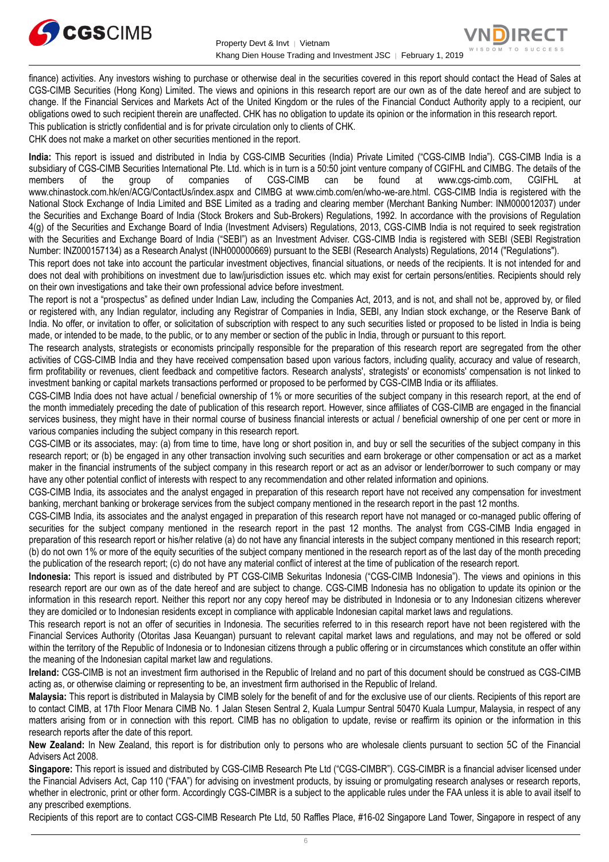



finance) activities. Any investors wishing to purchase or otherwise deal in the securities covered in this report should contact the Head of Sales at CGS-CIMB Securities (Hong Kong) Limited. The views and opinions in this research report are our own as of the date hereof and are subject to change. If the Financial Services and Markets Act of the United Kingdom or the rules of the Financial Conduct Authority apply to a recipient, our obligations owed to such recipient therein are unaffected. CHK has no obligation to update its opinion or the information in this research report. This publication is strictly confidential and is for private circulation only to clients of CHK.

CHK does not make a market on other securities mentioned in the report.

**India:** This report is issued and distributed in India by CGS-CIMB Securities (India) Private Limited ("CGS-CIMB India"). CGS-CIMB India is a subsidiary of CGS-CIMB Securities International Pte. Ltd. which is in turn is a 50:50 joint venture company of CGIFHL and CIMBG. The details of the members of the group of companies of CGS-CIMB can be found at www.cgs-cimb members of the group of companies of CGS-CIMB can be found at www.cgs-cimb.com, CGIFHL at www.chinastock.com.hk/en/ACG/ContactUs/index.aspx and CIMBG at www.cimb.com/en/who-we-are.html. CGS-CIMB India is registered with the National Stock Exchange of India Limited and BSE Limited as a trading and clearing member (Merchant Banking Number: INM000012037) under the Securities and Exchange Board of India (Stock Brokers and Sub-Brokers) Regulations, 1992. In accordance with the provisions of Regulation 4(g) of the Securities and Exchange Board of India (Investment Advisers) Regulations, 2013, CGS-CIMB India is not required to seek registration with the Securities and Exchange Board of India ("SEBI") as an Investment Adviser. CGS-CIMB India is registered with SEBI (SEBI Registration Number: INZ000157134) as a Research Analyst (INH000000669) pursuant to the SEBI (Research Analysts) Regulations, 2014 ("Regulations").

This report does not take into account the particular investment objectives, financial situations, or needs of the recipients. It is not intended for and does not deal with prohibitions on investment due to law/jurisdiction issues etc. which may exist for certain persons/entities. Recipients should rely on their own investigations and take their own professional advice before investment.

The report is not a "prospectus" as defined under Indian Law, including the Companies Act, 2013, and is not, and shall not be, approved by, or filed or registered with, any Indian regulator, including any Registrar of Companies in India, SEBI, any Indian stock exchange, or the Reserve Bank of India. No offer, or invitation to offer, or solicitation of subscription with respect to any such securities listed or proposed to be listed in India is being made, or intended to be made, to the public, or to any member or section of the public in India, through or pursuant to this report.

The research analysts, strategists or economists principally responsible for the preparation of this research report are segregated from the other activities of CGS-CIMB India and they have received compensation based upon various factors, including quality, accuracy and value of research, firm profitability or revenues, client feedback and competitive factors. Research analysts', strategists' or economists' compensation is not linked to investment banking or capital markets transactions performed or proposed to be performed by CGS-CIMB India or its affiliates.

CGS-CIMB India does not have actual / beneficial ownership of 1% or more securities of the subject company in this research report, at the end of the month immediately preceding the date of publication of this research report. However, since affiliates of CGS-CIMB are engaged in the financial services business, they might have in their normal course of business financial interests or actual / beneficial ownership of one per cent or more in various companies including the subject company in this research report.

CGS-CIMB or its associates, may: (a) from time to time, have long or short position in, and buy or sell the securities of the subject company in this research report; or (b) be engaged in any other transaction involving such securities and earn brokerage or other compensation or act as a market maker in the financial instruments of the subject company in this research report or act as an advisor or lender/borrower to such company or may have any other potential conflict of interests with respect to any recommendation and other related information and opinions.

CGS-CIMB India, its associates and the analyst engaged in preparation of this research report have not received any compensation for investment banking, merchant banking or brokerage services from the subject company mentioned in the research report in the past 12 months.

CGS-CIMB India, its associates and the analyst engaged in preparation of this research report have not managed or co-managed public offering of securities for the subject company mentioned in the research report in the past 12 months. The analyst from CGS-CIMB India engaged in preparation of this research report or his/her relative (a) do not have any financial interests in the subject company mentioned in this research report; (b) do not own 1% or more of the equity securities of the subject company mentioned in the research report as of the last day of the month preceding the publication of the research report; (c) do not have any material conflict of interest at the time of publication of the research report.

**Indonesia:** This report is issued and distributed by PT CGS-CIMB Sekuritas Indonesia ("CGS-CIMB Indonesia"). The views and opinions in this research report are our own as of the date hereof and are subject to change. CGS-CIMB Indonesia has no obligation to update its opinion or the information in this research report. Neither this report nor any copy hereof may be distributed in Indonesia or to any Indonesian citizens wherever they are domiciled or to Indonesian residents except in compliance with applicable Indonesian capital market laws and regulations.

This research report is not an offer of securities in Indonesia. The securities referred to in this research report have not been registered with the Financial Services Authority (Otoritas Jasa Keuangan) pursuant to relevant capital market laws and regulations, and may not be offered or sold within the territory of the Republic of Indonesia or to Indonesian citizens through a public offering or in circumstances which constitute an offer within the meaning of the Indonesian capital market law and regulations.

**Ireland:** CGS-CIMB is not an investment firm authorised in the Republic of Ireland and no part of this document should be construed as CGS-CIMB acting as, or otherwise claiming or representing to be, an investment firm authorised in the Republic of Ireland.

**Malaysia:** This report is distributed in Malaysia by CIMB solely for the benefit of and for the exclusive use of our clients. Recipients of this report are to contact CIMB, at 17th Floor Menara CIMB No. 1 Jalan Stesen Sentral 2, Kuala Lumpur Sentral 50470 Kuala Lumpur, Malaysia, in respect of any matters arising from or in connection with this report. CIMB has no obligation to update, revise or reaffirm its opinion or the information in this research reports after the date of this report.

**New Zealand:** In New Zealand, this report is for distribution only to persons who are wholesale clients pursuant to section 5C of the Financial Advisers Act 2008.

**Singapore:** This report is issued and distributed by CGS-CIMB Research Pte Ltd ("CGS-CIMBR"). CGS-CIMBR is a financial adviser licensed under the Financial Advisers Act, Cap 110 ("FAA") for advising on investment products, by issuing or promulgating research analyses or research reports, whether in electronic, print or other form. Accordingly CGS-CIMBR is a subject to the applicable rules under the FAA unless it is able to avail itself to any prescribed exemptions.

Recipients of this report are to contact CGS-CIMB Research Pte Ltd, 50 Raffles Place, #16-02 Singapore Land Tower, Singapore in respect of any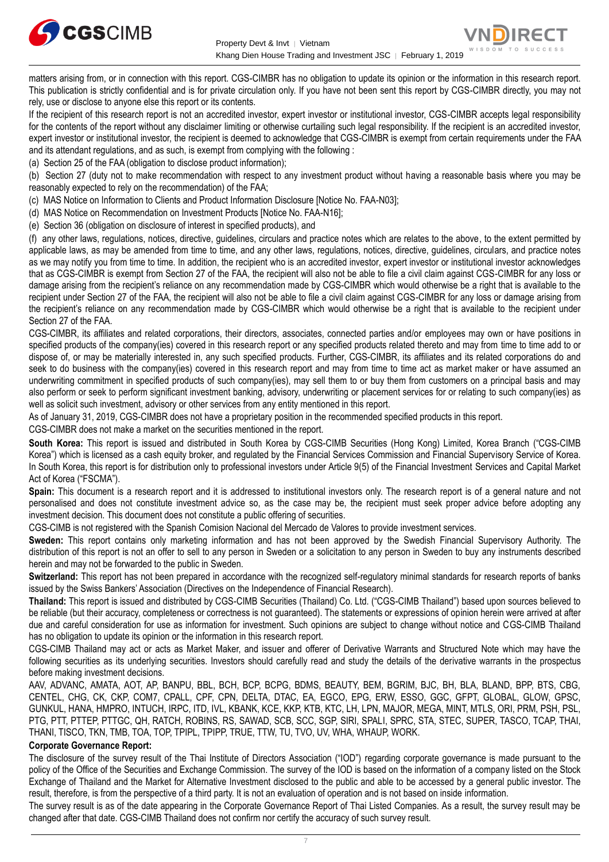



matters arising from, or in connection with this report. CGS-CIMBR has no obligation to update its opinion or the information in this research report. This publication is strictly confidential and is for private circulation only. If you have not been sent this report by CGS-CIMBR directly, you may not rely, use or disclose to anyone else this report or its contents.

If the recipient of this research report is not an accredited investor, expert investor or institutional investor, CGS-CIMBR accepts legal responsibility for the contents of the report without any disclaimer limiting or otherwise curtailing such legal responsibility. If the recipient is an accredited investor, expert investor or institutional investor, the recipient is deemed to acknowledge that CGS-CIMBR is exempt from certain requirements under the FAA and its attendant regulations, and as such, is exempt from complying with the following :

(a) Section 25 of the FAA (obligation to disclose product information);

(b) Section 27 (duty not to make recommendation with respect to any investment product without having a reasonable basis where you may be reasonably expected to rely on the recommendation) of the FAA;

(c) MAS Notice on Information to Clients and Product Information Disclosure [Notice No. FAA-N03];

(d) MAS Notice on Recommendation on Investment Products [Notice No. FAA-N16];

(e) Section 36 (obligation on disclosure of interest in specified products), and

(f) any other laws, regulations, notices, directive, guidelines, circulars and practice notes which are relates to the above, to the extent permitted by applicable laws, as may be amended from time to time, and any other laws, regulations, notices, directive, guidelines, circulars, and practice notes as we may notify you from time to time. In addition, the recipient who is an accredited investor, expert investor or institutional investor acknowledges that as CGS-CIMBR is exempt from Section 27 of the FAA, the recipient will also not be able to file a civil claim against CGS-CIMBR for any loss or damage arising from the recipient's reliance on any recommendation made by CGS-CIMBR which would otherwise be a right that is available to the recipient under Section 27 of the FAA, the recipient will also not be able to file a civil claim against CGS-CIMBR for any loss or damage arising from the recipient's reliance on any recommendation made by CGS-CIMBR which would otherwise be a right that is available to the recipient under Section 27 of the FAA.

CGS-CIMBR, its affiliates and related corporations, their directors, associates, connected parties and/or employees may own or have positions in specified products of the company(ies) covered in this research report or any specified products related thereto and may from time to time add to or dispose of, or may be materially interested in, any such specified products. Further, CGS-CIMBR, its affiliates and its related corporations do and seek to do business with the company(ies) covered in this research report and may from time to time act as market maker or have assumed an underwriting commitment in specified products of such company(ies), may sell them to or buy them from customers on a principal basis and may also perform or seek to perform significant investment banking, advisory, underwriting or placement services for or relating to such company(ies) as well as solicit such investment, advisory or other services from any entity mentioned in this report.

As of January 31, 2019, CGS-CIMBR does not have a proprietary position in the recommended specified products in this report.

CGS-CIMBR does not make a market on the securities mentioned in the report.

**South Korea:** This report is issued and distributed in South Korea by CGS-CIMB Securities (Hong Kong) Limited, Korea Branch ("CGS-CIMB Korea") which is licensed as a cash equity broker, and regulated by the Financial Services Commission and Financial Supervisory Service of Korea. In South Korea, this report is for distribution only to professional investors under Article 9(5) of the Financial Investment Services and Capital Market Act of Korea ("FSCMA").

**Spain:** This document is a research report and it is addressed to institutional investors only. The research report is of a general nature and not personalised and does not constitute investment advice so, as the case may be, the recipient must seek proper advice before adopting any investment decision. This document does not constitute a public offering of securities.

CGS-CIMB is not registered with the Spanish Comision Nacional del Mercado de Valores to provide investment services.

**Sweden:** This report contains only marketing information and has not been approved by the Swedish Financial Supervisory Authority. The distribution of this report is not an offer to sell to any person in Sweden or a solicitation to any person in Sweden to buy any instruments described herein and may not be forwarded to the public in Sweden.

Switzerland: This report has not been prepared in accordance with the recognized self-regulatory minimal standards for research reports of banks issued by the Swiss Bankers' Association (Directives on the Independence of Financial Research).

**Thailand:** This report is issued and distributed by CGS-CIMB Securities (Thailand) Co. Ltd. ("CGS-CIMB Thailand") based upon sources believed to be reliable (but their accuracy, completeness or correctness is not guaranteed). The statements or expressions of opinion herein were arrived at after due and careful consideration for use as information for investment. Such opinions are subject to change without notice and CGS-CIMB Thailand has no obligation to update its opinion or the information in this research report.

CGS-CIMB Thailand may act or acts as Market Maker, and issuer and offerer of Derivative Warrants and Structured Note which may have the following securities as its underlying securities. Investors should carefully read and study the details of the derivative warrants in the prospectus before making investment decisions.

AAV, ADVANC, AMATA, AOT, AP, BANPU, BBL, BCH, BCP, BCPG, BDMS, BEAUTY, BEM, BGRIM, BJC, BH, BLA, BLAND, BPP, BTS, CBG, CENTEL, CHG, CK, CKP, COM7, CPALL, CPF, CPN, DELTA, DTAC, EA, EGCO, EPG, ERW, ESSO, GGC, GFPT, GLOBAL, GLOW, GPSC, GUNKUL, HANA, HMPRO, INTUCH, IRPC, ITD, IVL, KBANK, KCE, KKP, KTB, KTC, LH, LPN, MAJOR, MEGA, MINT, MTLS, ORI, PRM, PSH, PSL, PTG, PTT, PTTEP, PTTGC, QH, RATCH, ROBINS, RS, SAWAD, SCB, SCC, SGP, SIRI, SPALI, SPRC, STA, STEC, SUPER, TASCO, TCAP, THAI, THANI, TISCO, TKN, TMB, TOA, TOP, TPIPL, TPIPP, TRUE, TTW, TU, TVO, UV, WHA, WHAUP, WORK.

#### **Corporate Governance Report:**

The disclosure of the survey result of the Thai Institute of Directors Association ("IOD") regarding corporate governance is made pursuant to the policy of the Office of the Securities and Exchange Commission. The survey of the IOD is based on the information of a company listed on the Stock Exchange of Thailand and the Market for Alternative Investment disclosed to the public and able to be accessed by a general public investor. The result, therefore, is from the perspective of a third party. It is not an evaluation of operation and is not based on inside information.

The survey result is as of the date appearing in the Corporate Governance Report of Thai Listed Companies. As a result, the survey result may be changed after that date. CGS-CIMB Thailand does not confirm nor certify the accuracy of such survey result.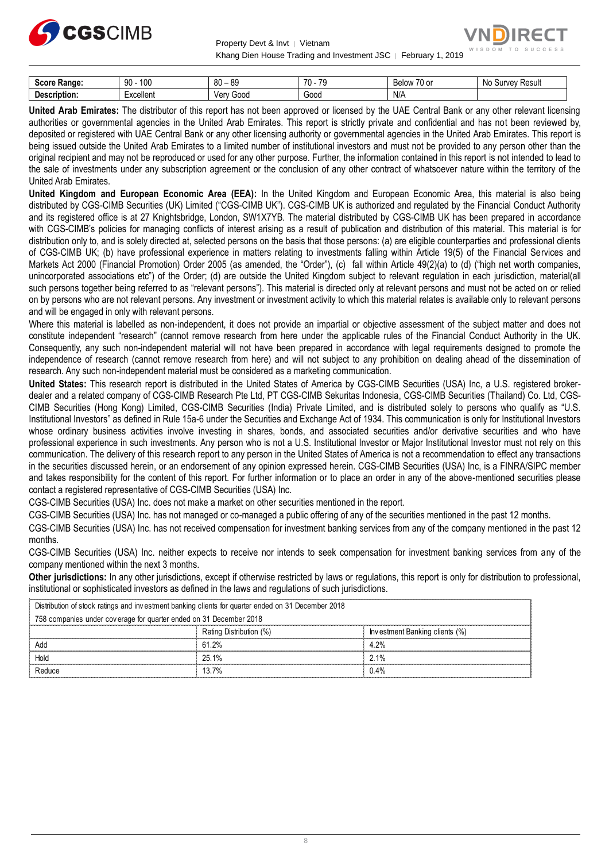



| score.<br>Range:  | 100<br>۵r<br>JU | oc<br>80<br>v      | 70<br>$\overline{\phantom{a}}$<br>. | $\overline{\phantom{a}}$<br>◡◠<br>$\sim$<br>ገነለ<br>DЕ<br>ັບບ<br>. . | NIc<br>Resul.<br>Jurvey.<br>יי |
|-------------------|-----------------|--------------------|-------------------------------------|---------------------------------------------------------------------|--------------------------------|
| -<br>Description: | Excellent       | Ver<br>Good<br>៸ င | -<br>Gooc                           | N/A                                                                 |                                |

**United Arab Emirates:** The distributor of this report has not been approved or licensed by the UAE Central Bank or any other relevant licensing authorities or governmental agencies in the United Arab Emirates. This report is strictly private and confidential and has not been reviewed by, deposited or registered with UAE Central Bank or any other licensing authority or governmental agencies in the United Arab Emirates. This report is being issued outside the United Arab Emirates to a limited number of institutional investors and must not be provided to any person other than the original recipient and may not be reproduced or used for any other purpose. Further, the information contained in this report is not intended to lead to the sale of investments under any subscription agreement or the conclusion of any other contract of whatsoever nature within the territory of the United Arab Emirates.

**United Kingdom and European Economic Area (EEA):** In the United Kingdom and European Economic Area, this material is also being distributed by CGS-CIMB Securities (UK) Limited ("CGS-CIMB UK"). CGS-CIMB UK is authorized and regulated by the Financial Conduct Authority and its registered office is at 27 Knightsbridge, London, SW1X7YB. The material distributed by CGS-CIMB UK has been prepared in accordance with CGS-CIMB's policies for managing conflicts of interest arising as a result of publication and distribution of this material. This material is for distribution only to, and is solely directed at, selected persons on the basis that those persons: (a) are eligible counterparties and professional clients of CGS-CIMB UK; (b) have professional experience in matters relating to investments falling within Article 19(5) of the Financial Services and Markets Act 2000 (Financial Promotion) Order 2005 (as amended, the "Order"), (c) fall within Article 49(2)(a) to (d) ("high net worth companies, unincorporated associations etc") of the Order; (d) are outside the United Kingdom subject to relevant regulation in each jurisdiction, material(all such persons together being referred to as "relevant persons"). This material is directed only at relevant persons and must not be acted on or relied on by persons who are not relevant persons. Any investment or investment activity to which this material relates is available only to relevant persons and will be engaged in only with relevant persons.

Where this material is labelled as non-independent, it does not provide an impartial or objective assessment of the subject matter and does not constitute independent "research" (cannot remove research from here under the applicable rules of the Financial Conduct Authority in the UK. Consequently, any such non-independent material will not have been prepared in accordance with legal requirements designed to promote the independence of research (cannot remove research from here) and will not subject to any prohibition on dealing ahead of the dissemination of research. Any such non-independent material must be considered as a marketing communication.

**United States:** This research report is distributed in the United States of America by CGS-CIMB Securities (USA) Inc, a U.S. registered brokerdealer and a related company of CGS-CIMB Research Pte Ltd, PT CGS-CIMB Sekuritas Indonesia, CGS-CIMB Securities (Thailand) Co. Ltd, CGS-CIMB Securities (Hong Kong) Limited, CGS-CIMB Securities (India) Private Limited, and is distributed solely to persons who qualify as "U.S. Institutional Investors" as defined in Rule 15a-6 under the Securities and Exchange Act of 1934. This communication is only for Institutional Investors whose ordinary business activities involve investing in shares, bonds, and associated securities and/or derivative securities and who have professional experience in such investments. Any person who is not a U.S. Institutional Investor or Major Institutional Investor must not rely on this communication. The delivery of this research report to any person in the United States of America is not a recommendation to effect any transactions in the securities discussed herein, or an endorsement of any opinion expressed herein. CGS-CIMB Securities (USA) Inc, is a FINRA/SIPC member and takes responsibility for the content of this report. For further information or to place an order in any of the above-mentioned securities please contact a registered representative of CGS-CIMB Securities (USA) Inc.

CGS-CIMB Securities (USA) Inc. does not make a market on other securities mentioned in the report.

CGS-CIMB Securities (USA) Inc. has not managed or co-managed a public offering of any of the securities mentioned in the past 12 months.

CGS-CIMB Securities (USA) Inc. has not received compensation for investment banking services from any of the company mentioned in the past 12 months.

CGS-CIMB Securities (USA) Inc. neither expects to receive nor intends to seek compensation for investment banking services from any of the company mentioned within the next 3 months.

**Other jurisdictions:** In any other jurisdictions, except if otherwise restricted by laws or regulations, this report is only for distribution to professional, institutional or sophisticated investors as defined in the laws and regulations of such jurisdictions. being the purisdictions: In any other jurisdictions, except if otherwise restricted by laws<br>stitutional or sophisticated investors as defined in the laws and regulations of such j<br>Distribution of stock ratings and investme

| <b>Other jurisdictions:</b> In any other jurisdictions, except if otherwise restricted by laws or regulations, this report is only for distribution to<br>institutional or sophisticated investors as defined in the laws and regulations of such jurisdictions. |                                                                                                    |                         |                                |  |
|------------------------------------------------------------------------------------------------------------------------------------------------------------------------------------------------------------------------------------------------------------------|----------------------------------------------------------------------------------------------------|-------------------------|--------------------------------|--|
|                                                                                                                                                                                                                                                                  | Distribution of stock ratings and investment banking clients for quarter ended on 31 December 2018 |                         |                                |  |
|                                                                                                                                                                                                                                                                  | 758 companies under coverage for quarter ended on 31 December 2018                                 |                         |                                |  |
|                                                                                                                                                                                                                                                                  |                                                                                                    | Rating Distribution (%) | Investment Banking clients (%) |  |
|                                                                                                                                                                                                                                                                  | Add                                                                                                | 61.2%                   | 4.2%                           |  |
|                                                                                                                                                                                                                                                                  | Hold                                                                                               | 25.1%                   | 2.1%                           |  |
|                                                                                                                                                                                                                                                                  | Reduce                                                                                             | 13.7%                   | 0.4%                           |  |
|                                                                                                                                                                                                                                                                  |                                                                                                    |                         |                                |  |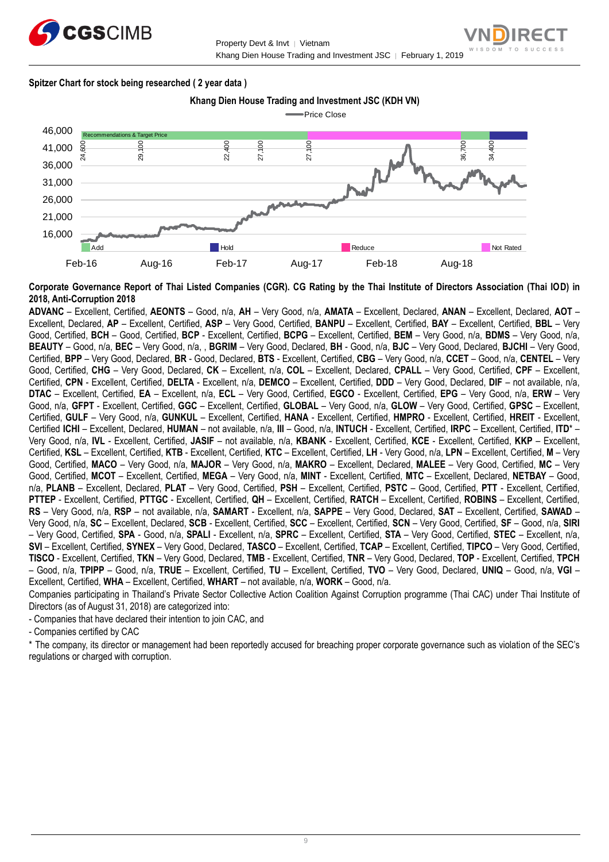



#### **Spitzer Chart for stock being researched ( 2 year data )**



**Corporate Governance Report of Thai Listed Companies (CGR). CG Rating by the Thai Institute of Directors Association (Thai IOD) in 2018, Anti-Corruption 2018**

**ADVANC** – Excellent, Certified, **AEONTS** – Good, n/a, **AH** – Very Good, n/a, **AMATA** – Excellent, Declared, **ANAN** – Excellent, Declared, **AOT** – Excellent, Declared, **AP** – Excellent, Certified, **ASP** – Very Good, Certified, **BANPU** – Excellent, Certified, **BAY** – Excellent, Certified, **BBL** – Very Good, Certified, **BCH** – Good, Certified, **BCP** - Excellent, Certified, **BCPG** – Excellent, Certified, **BEM** – Very Good, n/a, **BDMS** – Very Good, n/a, **BEAUTY** – Good, n/a, **BEC** – Very Good, n/a, , **BGRIM** – Very Good, Declared, **BH** - Good, n/a, **BJC** – Very Good, Declared, **BJCHI** – Very Good, Certified, **BPP** – Very Good, Declared, **BR** - Good, Declared, **BTS** - Excellent, Certified, **CBG** – Very Good, n/a, **CCET** – Good, n/a, **CENTEL** – Very Good, Certified, **CHG** – Very Good, Declared, **CK** – Excellent, n/a, **COL** – Excellent, Declared, **CPALL** – Very Good, Certified, **CPF** – Excellent, Certified, **CPN** - Excellent, Certified, **DELTA** - Excellent, n/a, **DEMCO** – Excellent, Certified, **DDD** – Very Good, Declared, **DIF** – not available, n/a, **DTAC** – Excellent, Certified, **EA** – Excellent, n/a, **ECL** – Very Good, Certified, **EGCO** - Excellent, Certified, **EPG** – Very Good, n/a, **ERW** – Very Good, n/a, **GFPT** - Excellent, Certified, **GGC** – Excellent, Certified, **GLOBAL** – Very Good, n/a, **GLOW** – Very Good, Certified, **GPSC** – Excellent, Certified, **GULF** – Very Good, n/a, **GUNKUL** – Excellent, Certified, **HANA** - Excellent, Certified, **HMPRO** - Excellent, Certified, **HREIT** - Excellent, Certified **ICHI** – Excellent, Declared, **HUMAN** – not available, n/a, **III** – Good, n/a, **INTUCH** - Excellent, Certified, **IRPC** – Excellent, Certified, **ITD**\* – Very Good, n/a, **IVL** - Excellent, Certified, **JASIF** – not available, n/a, **KBANK** - Excellent, Certified, **KCE** - Excellent, Certified, **KKP** – Excellent, Certified, **KSL** – Excellent, Certified, **KTB** - Excellent, Certified, **KTC** – Excellent, Certified, **LH** - Very Good, n/a, **LPN** – Excellent, Certified, **M** – Very Good, Certified, **MACO** – Very Good, n/a, **MAJOR** – Very Good, n/a, **MAKRO** – Excellent, Declared, **MALEE** – Very Good, Certified, **MC** – Very Good, Certified, **MCOT** – Excellent, Certified, **MEGA** – Very Good, n/a, **MINT** - Excellent, Certified, **MTC** – Excellent, Declared, **NETBAY** – Good, n/a, **PLANB** – Excellent, Declared, **PLAT** – Very Good, Certified, **PSH** – Excellent, Certified, **PSTC** – Good, Certified, **PTT** - Excellent, Certified, **PTTEP** - Excellent, Certified, **PTTGC** - Excellent, Certified, **QH** – Excellent, Certified, **RATCH** – Excellent, Certified, **ROBINS** – Excellent, Certified, **RS** – Very Good, n/a, **RSP** – not available, n/a, **SAMART** - Excellent, n/a, **SAPPE** – Very Good, Declared, **SAT** – Excellent, Certified, **SAWAD** – Very Good, n/a, **SC** – Excellent, Declared, **SCB** - Excellent, Certified, **SCC** – Excellent, Certified, **SCN** – Very Good, Certified, **SF** – Good, n/a, **SIRI** – Very Good, Certified, **SPA** - Good, n/a, **SPALI** - Excellent, n/a, **SPRC** – Excellent, Certified, **STA** – Very Good, Certified, **STEC** – Excellent, n/a, **SVI** – Excellent, Certified, **SYNEX** – Very Good, Declared, **TASCO** – Excellent, Certified, **TCAP** – Excellent, Certified, **TIPCO** – Very Good, Certified, **TISCO** - Excellent, Certified, **TKN** – Very Good, Declared, **TMB** - Excellent, Certified, **TNR** – Very Good, Declared, **TOP** - Excellent, Certified, **TPCH** – Good, n/a, **TPIPP** – Good, n/a, **TRUE** – Excellent, Certified, **TU** – Excellent, Certified, **TVO** – Very Good, Declared, **UNIQ** – Good, n/a, **VGI** – Excellent, Certified, **WHA** – Excellent, Certified, **WHART** – not available, n/a, **WORK** – Good, n/a.

Companies participating in Thailand's Private Sector Collective Action Coalition Against Corruption programme (Thai CAC) under Thai Institute of Directors (as of August 31, 2018) are categorized into:

- Companies that have declared their intention to join CAC, and

- Companies certified by CAC

\* The company, its director or management had been reportedly accused for breaching proper corporate governance such as violation of the SEC's regulations or charged with corruption.